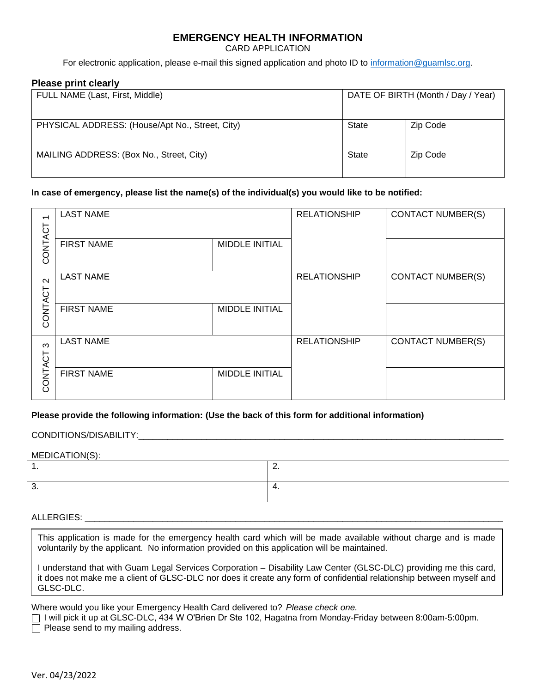# **EMERGENCY HEALTH INFORMATION**

CARD APPLICATION

For electronic application, please e-mail this signed application and photo ID to [information@guamlsc.org.](mailto:information@guamlsc.org)

### **Please print clearly**

| FULL NAME (Last, First, Middle)                 | DATE OF BIRTH (Month / Day / Year) |          |
|-------------------------------------------------|------------------------------------|----------|
| PHYSICAL ADDRESS: (House/Apt No., Street, City) | State                              | Zip Code |
| MAILING ADDRESS: (Box No., Street, City)        | State                              | Zip Code |

## **In case of emergency, please list the name(s) of the individual(s) you would like to be notified:**

| $\overline{\phantom{0}}$ | <b>LAST NAME</b>  |                       | <b>RELATIONSHIP</b> | <b>CONTACT NUMBER(S)</b> |
|--------------------------|-------------------|-----------------------|---------------------|--------------------------|
| CONTACT                  | <b>FIRST NAME</b> | <b>MIDDLE INITIAL</b> |                     |                          |
| $\sim$                   | <b>LAST NAME</b>  |                       | <b>RELATIONSHIP</b> | <b>CONTACT NUMBER(S)</b> |
| CONTACT                  | <b>FIRST NAME</b> | <b>MIDDLE INITIAL</b> |                     |                          |
| က<br>CONTACT             | <b>LAST NAME</b>  |                       | <b>RELATIONSHIP</b> | <b>CONTACT NUMBER(S)</b> |
|                          | <b>FIRST NAME</b> | <b>MIDDLE INITIAL</b> |                     |                          |

## **Please provide the following information: (Use the back of this form for additional information)**

### CONDITIONS/DISABILITY:\_\_\_\_\_\_\_\_\_\_\_\_\_\_\_\_\_\_\_\_\_\_\_\_\_\_\_\_\_\_\_\_\_\_\_\_\_\_\_\_\_\_\_\_\_\_\_\_\_\_\_\_\_\_\_\_\_\_\_\_\_\_\_\_\_\_\_\_\_\_\_\_\_\_\_

### MEDICATION(S):

## ALLERGIES: **with a set of the set of the set of the set of the set of the set of the set of the set of the set of the set of the set of the set of the set of the set of the set of the set of the set of the set of the set o**

This application is made for the emergency health card which will be made available without charge and is made voluntarily by the applicant. No information provided on this application will be maintained.

I understand that with Guam Legal Services Corporation – Disability Law Center (GLSC-DLC) providing me this card, it does not make me a client of GLSC-DLC nor does it create any form of confidential relationship between myself and GLSC-DLC.

Where would you like your Emergency Health Card delivered to? *Please check one.*

 I will pick it up at GLSC-DLC, 434 W O'Brien Dr Ste 102, Hagatna from Monday-Friday between 8:00am-5:00pm.  $\Box$  Please send to my mailing address.